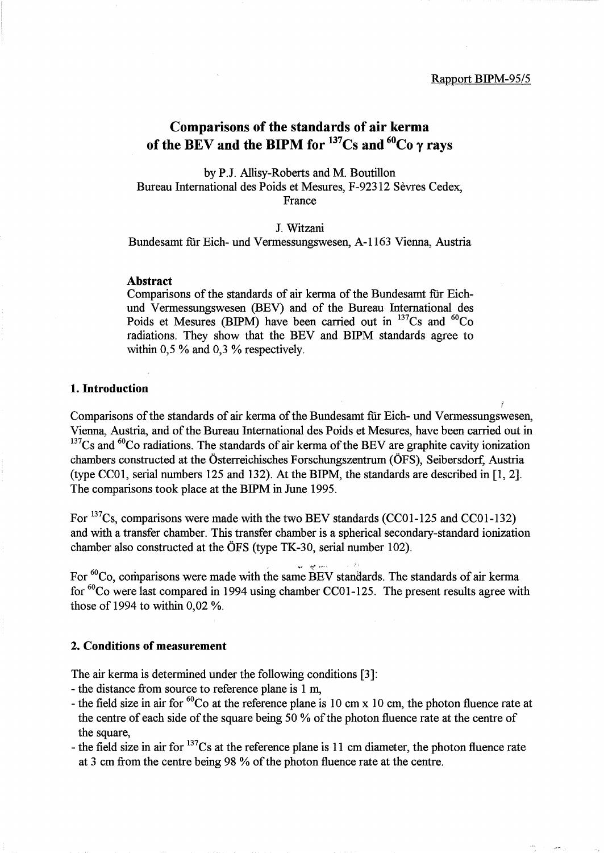*t* 

## Comparisons of the standards of air kerma of the BEV and the BIPM for  $137Cs$  and  $60Co$   $\gamma$  rays

by P.J. Allisy-Roberts and M. Boutillon Bureau International des Poids et Mesures, F-92312 Sevres Cedex, France

#### J. Witzani

Bundesamt für Eich- und Vermessungswesen, A-1163 Vienna, Austria

#### Abstract

Comparisons of the standards of air kerma of the Bundesamt fur Eichund Vermessungswesen (BEV) and of the Bureau International des Poids et Mesures (BIPM) have been carried out in  $^{137}Cs$  and  $^{60}Co$ radiations. They show that the BEV and BIPM standards agree to within 0,5 % and 0,3 % respectively.

#### 1. Introduction

Comparisons of the standards of air kerma of the Bundesamt fur Eich- und Vermessungswesen, Vienna, Austria, and of the Bureau International des Poids et Mesures, have been carried out in  $137Cs$  and <sup>60</sup>Co radiations. The standards of air kerma of the BEV are graphite cavity ionization chambers constructed at the Osterreichisches Forschungszentrum (OFS), Seibersdorf, Austria (type CC01, serial numbers 125 and 132). At the BIPM, the standards are described in [1, 2]. The comparisons took place at the BIPM in June 1995.

For <sup>137</sup>Cs, comparisons were made with the two BEV standards (CCO1-125 and CCO1-132) and with a transfer chamber. This transfer chamber is a spherical secondary-standard ionization chamber also constructed at the OFS (type TK-30, serial number 102).

For <sup>60</sup>Co, comparisons were made with the same BEV standards. The standards of air kerma for  ${}^{60}$ Co were last compared in 1994 using chamber CC01-125. The present results agree with those of 1994 to within 0,02 %.

an an air

#### 2. Conditions of measurement

The air kerma is determined under the following conditions [3]:

- the distance from source to reference plane is 1 m,
- the field size in air for  ${}^{60}Co$  at the reference plane is 10 cm x 10 cm, the photon fluence rate at the centre of each side of the square being 50 % of the photon fluence rate at the centre of the square,
- the field size in air for  $137$ Cs at the reference plane is 11 cm diameter, the photon fluence rate at 3 cm from the centre being 98 % of the photon fluence rate at the centre.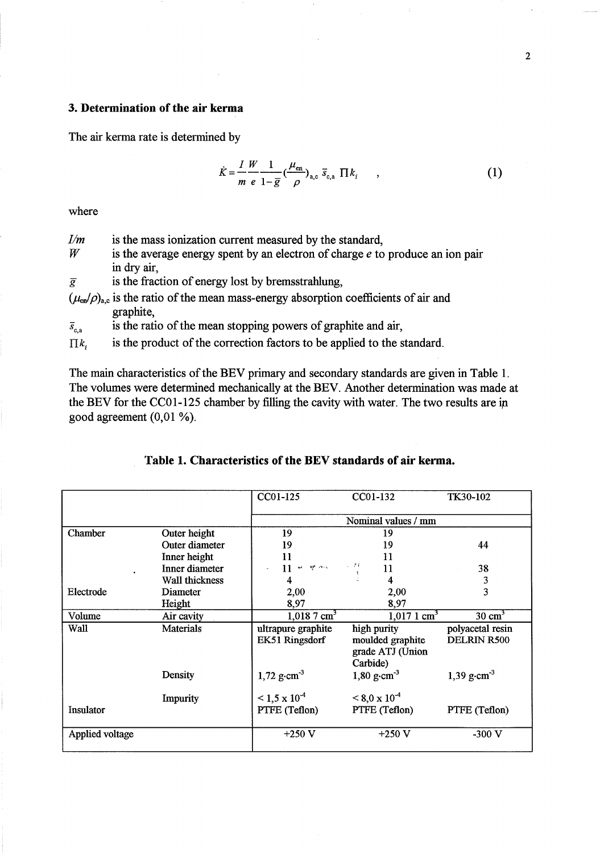### **3. Determination of the air kerma**

The air kerma rate is determined by

$$
\dot{K} = \frac{I}{m} \frac{W}{e} \frac{1}{1 - \overline{g}} \left(\frac{\mu_{\text{en}}}{\rho}\right)_{\text{a,c}} \overline{s}_{\text{c,a}} \prod k_i \qquad , \tag{1}
$$

where

- $I/m$  is the mass ionization current measured by the standard,  $W$  is the average energy spent by an electron of charge e to
- is the average energy spent by an electron of charge *e* to produce an ion pair in dry air,
- $\overline{g}$  is the fraction of energy lost by bremsstrahlung,
- $(\mu_{en}/\rho)_{a,c}$  is the ratio of the mean mass-energy absorption coefficients of air and graphite,

 $\bar{s}_{c,a}$  is the ratio of the mean stopping powers of graphite and air,

 $\prod k$ , is the product of the correction factors to be applied to the standard.

The main characteristics of the BEV primary and secondary standards are given in Table 1. The volumes were determined mechanically at the BEV. Another determination was made at the BEV for the CCOl-125 chamber by filling the cavity with water. The two results are ip good agreement (0,01 %).

|                 |                  | CC01-125                                 | CC01-132                                                        | <b>TK30-102</b>                 |
|-----------------|------------------|------------------------------------------|-----------------------------------------------------------------|---------------------------------|
|                 |                  |                                          | Nominal values / mm                                             |                                 |
| Chamber         | Outer height     | 19                                       | 19                                                              |                                 |
|                 | Outer diameter   | 19                                       | 19                                                              | 44                              |
|                 | Inner height     | 11                                       | 11                                                              |                                 |
|                 | Inner diameter   | $11  \leq$ $\leq$ $\leq$ $\leq$<br>$\mu$ | S 27<br>11                                                      | 38                              |
|                 | Wall thickness   | 4                                        | 4                                                               | 3                               |
| Electrode       | Diameter         | 2,00                                     | 2,00                                                            | 3                               |
|                 | Height           | 8,97                                     | 8,97                                                            |                                 |
| Volume          | Air cavity       | $1,018.7 \text{ cm}^3$                   | $1,0171$ cm <sup>3</sup>                                        | $30 \text{ cm}^3$               |
| Wall            | <b>Materials</b> | ultrapure graphite<br>EK51 Ringsdorf     | high purity<br>moulded graphite<br>grade ATJ (Union<br>Carbide) | polyacetal resin<br>DELRIN R500 |
|                 | Density          | $1,72$ g·cm <sup>-3</sup>                | 1,80 $\text{g}\cdot\text{cm}^{-3}$                              | 1,39 g $\cdot$ cm <sup>-3</sup> |
|                 | Impurity         | $\leq 1.5 \times 10^{-4}$                | $\leq 8.0 \times 10^{-4}$                                       |                                 |
| Insulator       |                  | PTFE (Teflon)                            | PTFE (Teflon)                                                   | PTFE (Teflon)                   |
| Applied voltage |                  | $+250$ V                                 | $+250$ V                                                        | $-300$ V                        |

### **Table 1. Characteristics of the BEV standards of air kerma.**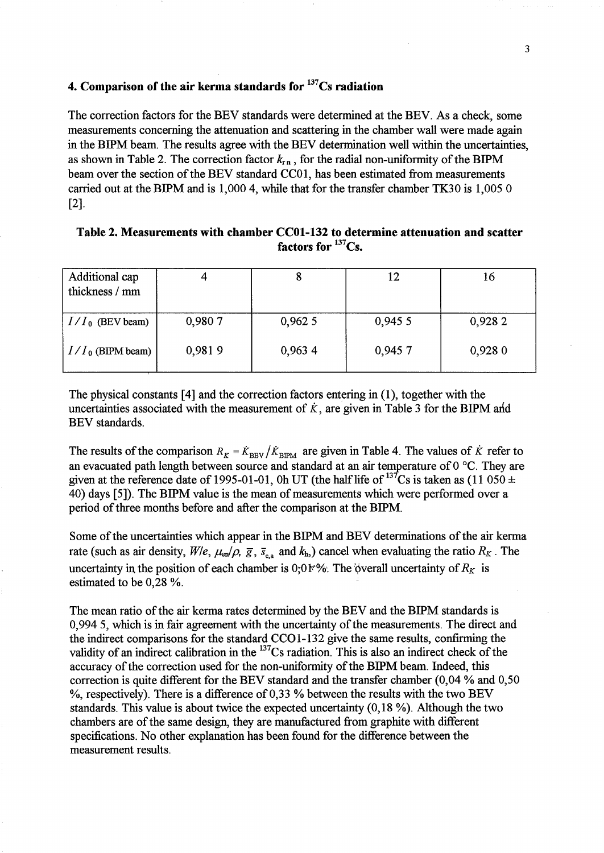### 4. Comparison of the air kerma standards for  $137$ Cs radiation

The correction factors for the BEV standards were determined at the BEY. As a check, some measurements concerning the attenuation and scattering in the chamber wall were made again in the BIPM beam. The results agree with the BEV determination well within the uncertainties, as shown in Table 2. The correction factor  $k_{\text{r,n}}$ , for the radial non-uniformity of the BIPM beam over the section of the BEV standard CCOl, has been estimated from measurements carried out at the BIPM and is  $1,0004$ , while that for the transfer chamber TK30 is  $1,0050$ [2].

| Additional cap<br>thickness / mm |        | o       | 12      | 16      |
|----------------------------------|--------|---------|---------|---------|
| $I/I_0$ (BEV beam)               | 0,9807 | 0,962 5 | 0,945 5 | 0,928 2 |
| $I/I_0$ (BIPM beam)              | 0,9819 | 0,963 4 | 0,9457  | 0,9280  |

### Table 2. Measurements with chamber CCOl-132 to determine attenuation and scatter factors for  $^{137}Cs$ .

The physical constants [4] and the correction factors entering in (1), together with the uncertainties associated with the measurement of  $\dot{k}$ , are given in Table 3 for the BIPM and BEV standards.

The results of the comparison  $R_K = \dot{K}_{\text{BEV}} / \dot{K}_{\text{BPM}}$  are given in Table 4. The values of  $\dot{K}$  refer to an evacuated path length between source and standard at an air temperature of  $0^{\circ}$ C. They are given at the reference date of 1995-01-01, Oh UT (the half life of  $^{137}Cs$  is taken as (11 050  $\pm$ 40) days [5]). The BIPM value is the mean of measurements which were performed over a period of three months before and after the comparison at the BIPM.

Some of the uncertainties which appear in the BIPM and BEV determinations of the air kerma rate (such as air density,  $W/e$ ,  $\mu_{en}/\rho$ ,  $\bar{g}$ ,  $\bar{s}_{ca}$  and  $k_{h}$ ) cancel when evaluating the ratio  $R_K$ . The uncertainty in the position of each chamber is 0;0 k%. The overall uncertainty of  $R_K$  is estimated to be 0,28 %.

The mean ratio of the air kerma rates determined by the BEV and the BIPM standards is 0,9945, which is in fair agreement with the uncertainty of the measurements. The direct and the indirect comparisons for the standard CCO1-132 give the same results, confirming the validity of an indirect calibration in the <sup>137</sup>Cs radiation. This is also an indirect check of the accuracy of the correction used for the non-uniformity of the BIPM beam. Indeed, this correction is quite different for the BEV standard and the transfer chamber (0,04 % and 0,50  $\%$ , respectively). There is a difference of 0,33 % between the results with the two BEV standards. This value is about twice the expected uncertainty (0,18 %). Although the two chambers are of the same design, they are manufactured from graphite with different specifications. No other explanation has been found for the difference between the measurement results.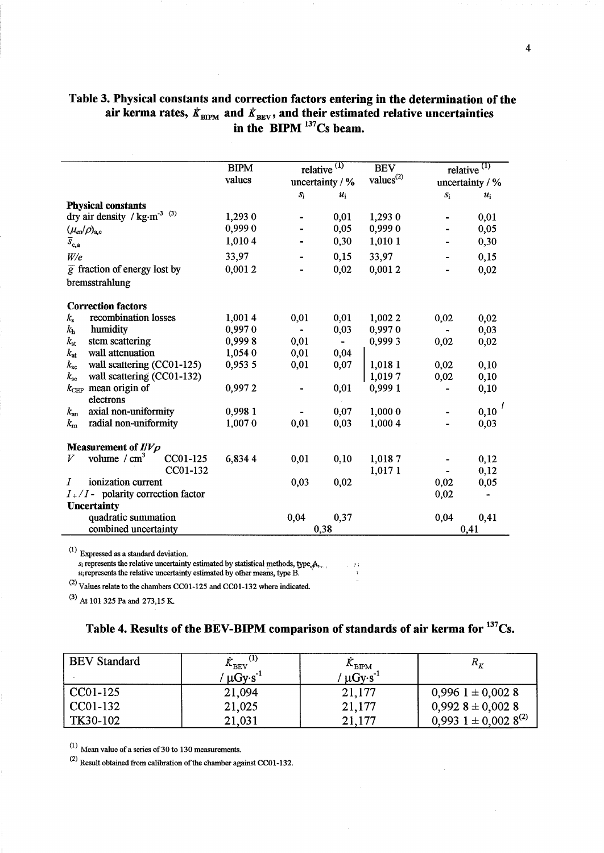### Table 3. Physical constants and correction factors entering in the determination of the air kerma rates,  $\dot{K}_{\text{BIPM}}$  and  $\dot{K}_{\text{BEV}}$ , and their estimated relative uncertainties in the  $BIPM$   $^{137}Cs$  beam.

|                                                          | <b>BIPM</b> | relative  | $\left( 1\right)$ | <b>BEV</b>            |               | relative $(1)$    |
|----------------------------------------------------------|-------------|-----------|-------------------|-----------------------|---------------|-------------------|
|                                                          | values      |           | uncertainty / %   | values <sup>(2)</sup> |               | uncertainty $/$ % |
|                                                          |             | $S_1$     | $u_i$             |                       | $S_{\rm 1}$   | $u_i$             |
| <b>Physical constants</b>                                |             |           |                   |                       |               |                   |
| dry air density / $\text{kg}\cdot\text{m}^{-3}$ $^{(3)}$ | 1,293 0     |           | 0,01              | 1,293 0               |               | 0,01              |
| $(\mu_{\rm en}/\rho)_{\rm a,c}$                          | 0,9990      |           | 0,05              | 0,9990                |               | 0,05              |
| $\bar{s}_{\mathrm{c,a}}$                                 | 1,010 4     |           | 0,30              | 1,010 1               |               | 0,30              |
| W/e                                                      | 33,97       |           | 0,15              | 33,97                 |               | 0,15              |
| $\overline{g}$ fraction of energy lost by                | 0,0012      |           | 0,02              | 0,0012                |               | 0,02              |
| bremsstrahlung                                           |             |           |                   |                       |               |                   |
| <b>Correction factors</b>                                |             |           |                   |                       |               |                   |
| recombination losses<br>$k_{\rm s}$                      | 1,0014      | 0,01      | 0,01              | 1,002 2               | 0,02          | 0,02              |
| humidity<br>$k_{\rm h}$                                  | 0,9970      | $\bullet$ | 0,03              | 0,9970                | $\frac{1}{2}$ | 0,03              |
| $k_{\rm st}$<br>stem scattering                          | 0,9998      | 0,01      |                   | 0,9993                | 0,02          | 0,02              |
| wall attenuation<br>$k_{\rm at}$                         | 1,054 0     | 0,01      | 0,04              |                       |               |                   |
| wall scattering (CC01-125)<br>$k_{\rm sc}$               | 0,953 5     | 0,01      | 0,07              | 1,018 1               | 0,02          | 0,10              |
| wall scattering (CC01-132)<br>$k_{\rm sc}$               |             |           |                   | 1,0197                | 0,02          | 0,10              |
| $k_{\text{CEP}}$ mean origin of                          | 0,9972      |           | 0,01              | 0,999 1               |               | 0,10              |
| electrons                                                |             |           |                   |                       |               |                   |
| axial non-uniformity<br>$k_{\rm an}$                     | 0,9981      |           | 0,07              | 1,000 0               |               | $0,10^{f}$        |
| radial non-uniformity<br>$k_{\rm m}$                     | 1,0070      | 0,01      | 0,03              | 1,000 4               |               | 0,03              |
| Measurement of $I/V\rho$                                 |             |           |                   |                       |               |                   |
| volume $\ / \ \text{cm}^3$<br>CC01-125<br>V              | 6,8344      | 0,01      | 0,10              | 1,0187                |               | 0,12              |
|                                                          | CC01-132    |           |                   | 1,017 1               |               | 0,12              |
| ionization current<br>$\boldsymbol{I}$                   |             | 0,03      | 0,02              |                       | 0,02          | 0,05              |
| $I_{+}/I_{-}$ polarity correction factor                 |             |           |                   |                       | 0,02          |                   |
| <b>Uncertainty</b>                                       |             |           |                   |                       |               |                   |
| quadratic summation                                      |             | 0,04      | 0,37              |                       | 0,04          | 0,41              |
| combined uncertainty                                     |             |           | 0,38              |                       |               | 0,41              |

 $(1)$  Expressed as a standard deviation.

 $s_i$  represents the relative uncertainty estimated by statistical methods, type, $A_1$ ,

 $u_i$  represents the relative uncertainty estimated by other means, type B.

 $^{(2)}$  Values relate to the chambers CC01-125 and CC01-132 where indicated.

(3) At 101 325 Pa and 273,15 K

# Table 4. Results of the BEV-BIPM comparison of standards of air kerma for <sup>137</sup>Cs.

| <b>BEV</b> Standard | $\mathbf{A}_{\rm RFV}$<br>$\mu$ Gy·s <sup>-1</sup> | $A$ <sub>BIPM</sub><br>$\mu$ Gy·s <sup>-1</sup> | $R_{\rm r}$                        |
|---------------------|----------------------------------------------------|-------------------------------------------------|------------------------------------|
| CC01-125            | 21,094                                             | 21,177                                          | $0,996$ 1 ± 0,002 8                |
| CC01-132            | 21,025                                             | 21,177                                          | $0,992$ 8 ± 0,002 8                |
| TK30-102            | 21,031                                             | 21.177                                          | $0,993$ 1 ± 0,002 8 <sup>(2)</sup> |

 $(1)$  Mean value of a series of 30 to 130 measurements.

(2) Result obtained from calibration of the chamber against CC01-132.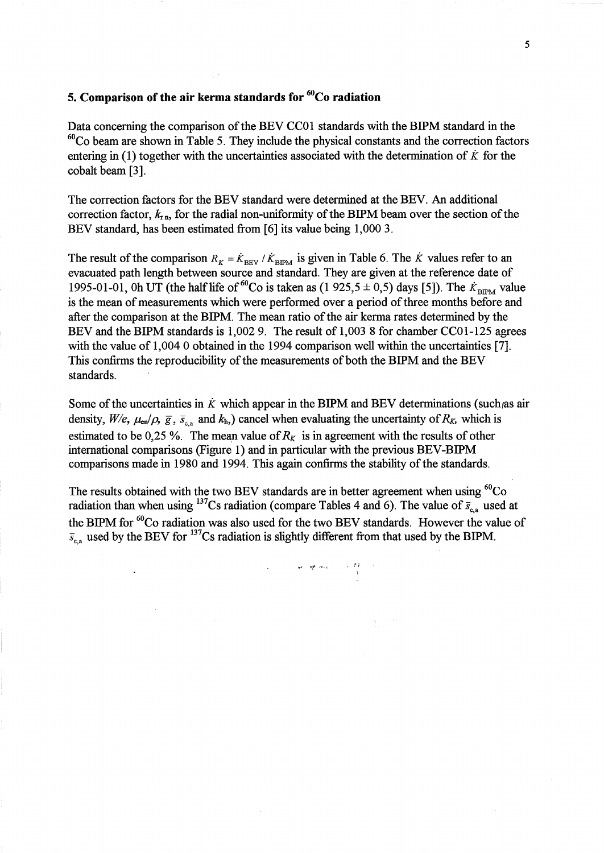### **5. Comparison of the air kerma standards for** 60Co **radiation**

Data concerning the comparison of the BEV CC01 standards with the BIPM standard in the  $60^{\circ}$ Co beam are shown in Table 5. They include the physical constants and the correction factors entering in  $(1)$  together with the uncertainties associated with the determination of  $\dot{K}$  for the cobalt beam [3].

The correction factors for the BEV standard were determined at the BEY. An additional correction factor,  $k_{\text{r,n}}$ , for the radial non-uniformity of the BIPM beam over the section of the BEV standard, has been estimated from [6] its value being 1,000 3.

The result of the comparison  $R_K = \dot{K}_{\text{BEV}} / \dot{K}_{\text{BFM}}$  is given in Table 6. The  $\dot{K}$  values refer to an evacuated path length between source and standard. They are given at the reference date of 1995-01-01, Oh UT (the half life of <sup>60</sup>Co is taken as (1 925,5  $\pm$  0,5) days [5]). The  $K_{\text{BIPM}}$  value is the mean of measurements which were performed over a period of three months before and after the comparison at the BIPM. The mean ratio of the air kerma rates determined by the BEV and the BIPM standards is 1,002 9. The result of 1,003 8 for chamber CC01-125 agrees with the value of 1,004 0 obtained in the 1994 comparison well within the uncertainties [7]. This confirms the reproducibility of the measurements of both the BIPM and the BEV standards.

Some of the uncertainties in  $\dot{K}$  which appear in the BIPM and BEV determinations (such as air density,  $W/e$ ,  $\mu_{en}/\rho$ ,  $\bar{g}$ ,  $\bar{s}_{c,a}$  and  $k_{h}$ ,) cancel when evaluating the uncertainty of  $R_K$ , which is estimated to be 0,25 %. The mean value of  $R_K$  is in agreement with the results of other international comparisons (Figure 1) and in particular with the previous BEV -BIPM comparisons made in 1980 and 1994. This again confirms the stability of the standards.

The results obtained with the two BEV standards are in better agreement when using  $\mathrm{^{60}Co}$ radiation than when using <sup>137</sup>Cs radiation (compare Tables 4 and 6). The value of  $\bar{s}_{c,a}$  used at the BIPM for <sup>60</sup>Co radiation was also used for the two BEV standards. However the value of  $\bar{s}_{\rm c,a}$  used by the BEV for <sup>137</sup>Cs radiation is slightly different from that used by the BIPM.

. :'1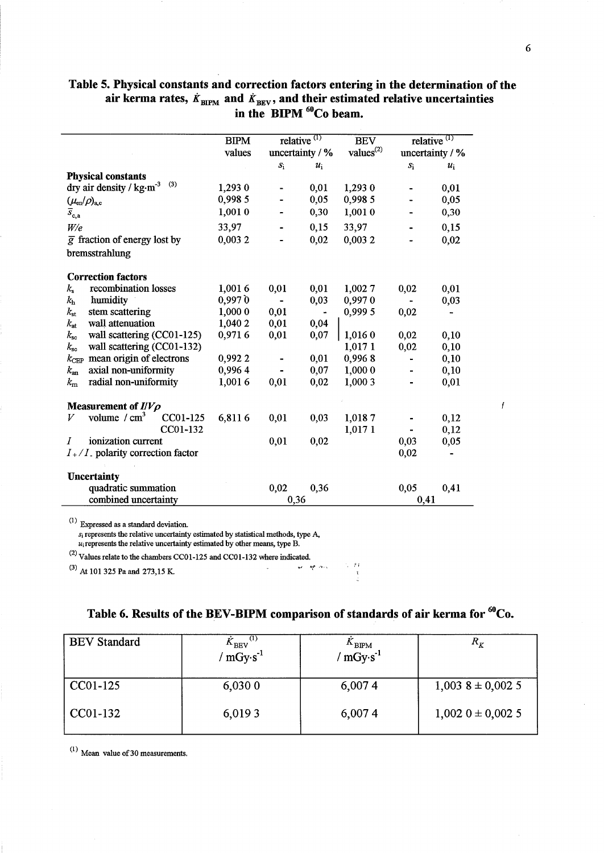### Table 5. Physical constants and correction factors entering in the determination of the air kerma rates,  $\dot{K}_{\text{BIPM}}$  and  $\dot{K}_{\text{BEV}}$ , and their estimated relative uncertainties in the BIPM <sup>60</sup>Co beam.

|                                            | <b>BIPM</b> |                              | relative $(1)$  | <b>BEV</b>            |       | relative <sup><math>(1)</math></sup> |
|--------------------------------------------|-------------|------------------------------|-----------------|-----------------------|-------|--------------------------------------|
|                                            | values      |                              | uncertainty / % | values <sup>(2)</sup> |       | uncertainty / %                      |
|                                            |             | $S_1$                        | $u_i$           |                       | $S_1$ | $u_i$                                |
| <b>Physical constants</b>                  |             |                              |                 |                       |       |                                      |
| (3)<br>dry air density / kg·m <sup>3</sup> | 1,293 0     |                              | 0,01            | 1,293 0               |       | 0,01                                 |
| $(\mu_{\rm en}/\rho)_{\rm a,c}$            | 0,998 5     |                              | 0,05            | 0,998 5               |       | 0,05                                 |
| $\bar{s}_{\mathrm{c,a}}$                   | 1,0010      |                              | 0,30            | 1,0010                |       | 0,30                                 |
| W/e                                        | 33,97       |                              | 0,15            | 33,97                 |       | 0,15                                 |
| $\overline{g}$ fraction of energy lost by  | 0,0032      |                              | 0,02            | 0,0032                |       | 0,02                                 |
| bremsstrahlung                             |             |                              |                 |                       |       |                                      |
| <b>Correction factors</b>                  |             |                              |                 |                       |       |                                      |
| recombination losses<br>$k_{\rm s}$        | 1,0016      | 0,01                         | 0,01            | 1,0027                | 0,02  | 0,01                                 |
| $k_{\rm h}$<br>humidity                    | 0,9970      | $\qquad \qquad \blacksquare$ | 0,03            | 0,9970                |       | 0,03                                 |
| stem scattering<br>$k_{\rm st}$            | 1,000 0     | 0,01                         |                 | 0,999 5               | 0,02  |                                      |
| wall attenuation<br>$k_{\rm at}$           | 1,040 2     | 0,01                         | 0,04            |                       |       |                                      |
| wall scattering (CC01-125)<br>$k_{\rm sc}$ | 0,9716      | 0,01                         | 0,07            | 1,016 0               | 0,02  | 0,10                                 |
| wall scattering (CC01-132)<br>$k_{\rm sc}$ |             |                              |                 | 1,017 1               | 0,02  | 0,10                                 |
| $k_{\text{CEP}}$ mean origin of electrons  | 0,9922      |                              | 0,01            | 0,9968                |       | 0,10                                 |
| axial non-uniformity<br>$k_{\rm an}$       | 0,9964      |                              | 0,07            | 1,000 0               |       | 0,10                                 |
| radial non-uniformity<br>$k_{\rm m}$       | 1.0016      | 0,01                         | 0,02            | 1,000 3               |       | 0,01                                 |
| Measurement of $I/V\rho$                   |             |                              |                 |                       |       |                                      |
| volume $/cm3$<br>CC01-125<br>V             | 6,8116      | 0,01                         | 0,03            | 1,0187                |       | 0,12                                 |
| CC01-132                                   |             |                              |                 | 1,017 1               |       | 0,12                                 |
| ionization current<br>I                    |             | 0,01                         | 0,02            |                       | 0,03  | 0,05                                 |
| $I_{+}/I_{-}$ polarity correction factor   |             |                              |                 |                       | 0,02  |                                      |
| <b>Uncertainty</b>                         |             |                              |                 |                       |       |                                      |
| quadratic summation                        |             | 0,02                         | 0,36            |                       | 0,05  | 0,41                                 |
| combined uncertainty                       |             | 0,36                         |                 |                       | 0,41  |                                      |

 $\mathcal{L}$  Expressed as a standard deviation.

 $s_i$  represents the relative uncertainty estimated by statistical methods, type A,

 $u_i$  represents the relative uncertainty estimated by other means, type B.

(2) Values relate to the chambers CCOI-125 and CCOI-132 where indicated.

(3) At 101 325 Pa and 273,15 K.

# Table 6. Results of the BEV-BIPM comparison of standards of air kerma for <sup>60</sup>Co.

| <b>BEV</b> Standard | $\mathbf{A}_{\rm BEV}$<br>$mgv \cdot s^{-1}$ | $\sum_{\text{BIPM}}^{\text{A-BIPM}}$ | $R_{K}$             |
|---------------------|----------------------------------------------|--------------------------------------|---------------------|
| $CC01-125$          | 6,0300                                       | 6,0074                               | $1,003$ 8 ± 0,002 5 |
| CC01-132            | 6,0193                                       | 6,0074                               | $1,002$ 0 ± 0,002 5 |

 $(1)$  Mean value of 30 measurements.

 $\mathbf{r}$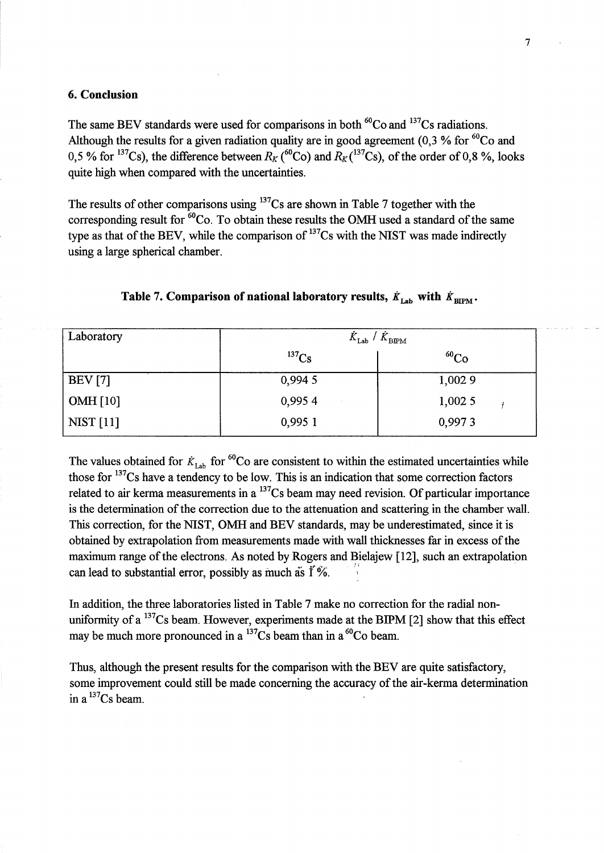#### 6. Conclusion

The same BEV standards were used for comparisons in both  ${}^{60}Co$  and  ${}^{137}Cs$  radiations. Although the results for a given radiation quality are in good agreement (0,3 % for  ${}^{60}Co$  and 0,5 % for <sup>137</sup>Cs), the difference between  $R_K$  (<sup>60</sup>Co) and  $R_K$  (<sup>137</sup>Cs), of the order of 0,8 %, looks quite high when compared with the uncertainties.

The results of other comparisons using  $137Cs$  are shown in Table 7 together with the corresponding result for  ${}^{60}Co$ . To obtain these results the OMH used a standard of the same type as that of the BEV, while the comparison of  $137Cs$  with the NIST was made indirectly using a large spherical chamber.

| Laboratory       | $K_{\text{Lab}}$ / $K_{\text{BIPM}}$ |             |  |
|------------------|--------------------------------------|-------------|--|
|                  | $^{137}Cs$                           | ${}^{60}Co$ |  |
| BEV [7]          | 0,994 5                              | 1,0029      |  |
| $\vert$ OMH [10] | 0,9954                               | 1,0025      |  |
| NIST[11]         | 0,995 1                              | 0,9973      |  |

### Table 7. Comparison of national laboratory results,  $\dot{K}_{\text{Lap}}$  with  $\dot{K}_{\text{BIPM}}$ .

The values obtained for  $K_{\text{Lab}}$  for <sup>60</sup>Co are consistent to within the estimated uncertainties while those for  $^{137}$ Cs have a tendency to be low. This is an indication that some correction factors related to air kerma measurements in a  $^{137}Cs$  beam may need revision. Of particular importance is the determination of the correction due to the attenuation and scattering in the chamber wall. This correction, for the NIST, OMH and BEV standards, may be underestimated, since it is obtained by extrapolation from measurements made with wall thicknesses far in excess of the maximum range of the electrons. As noted by Rogers and Bielajew [12], such an extrapolation can lead to substantial error, possibly as much as  $\tilde{I}$ %.

In addition, the three laboratories listed in Table 7 make no correction for the radial nonuniformity of a  $^{137}Cs$  beam. However, experiments made at the BIPM [2] show that this effect may be much more pronounced in a  $^{137}Cs$  beam than in a  $^{60}Co$  beam.

Thus, although the present results for the comparison with the BEV are quite satisfactory, some improvement could still be made concerning the accuracy of the air-kerma determination in a  $^{137}Cs$  beam.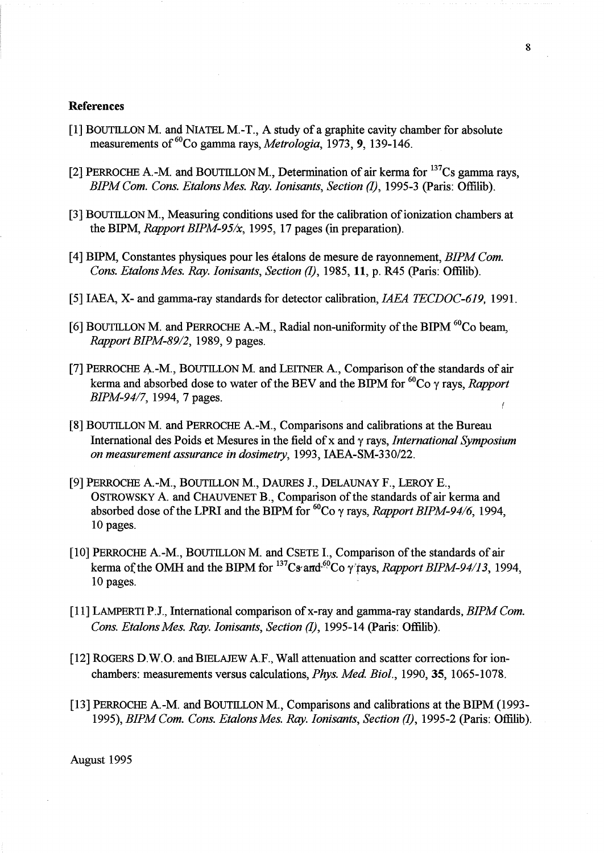#### References

- [1] BOUTILLON M. and NIATEL M.-T., A study of a graphite cavity chamber for absolute measurements of <sup>60</sup>Co gamma rays, *Metrologia*, 1973, 9, 139-146.
- [2] PERROCHE A.-M. and BOUTILLON M., Determination of air kerma for  $^{137}Cs$  gamma rays, *BIPMCom. Cons. EtalonsMes. Ray. Ionisants, Section* (1), 1995-3 (Paris: Offilib).
- [3] BOUTILLON M., Measuring conditions used for the calibration of ionization chambers at the BIPM, *Rapport BIPM-95/x,* 1995, 17 pages (in preparation).
- [4] BIPM, Constantes physiques pour les etalons de me sure de rayonnement, *BIPM Com. Cons. Etalons Mes. Ray. Ionisants, Section (1), 1985, 11, p. R45 (Paris: Offilib).*
- [5] IAEA, X- and gamma-ray standards for detector calibration, *IAEA TECDOC-619,* 1991.
- [6] BOUTILLON M. and PERROCHE A.-M., Radial non-uniformity of the BIPM <sup>60</sup>Co beam, *Rapport BIPM-89/2,* 1989,9 pages.
- [7] PERROCHE A.-M., BOUTILLON M. and LEITNER A., Comparison of the standards of air kerma and absorbed dose to water of the BEV and the BIPM for  ${}^{60}Co$   $\gamma$  rays, *Rapport BIPM-94/7,* 1994,7 pages.
- [8] BOUTILLON M. and PERROCHE A-M., Comparisons and calibrations at the Bureau International des Poids et Mesures in the field ofx and y rays, *International Symposium on measurement assurance in dosimetry,* 1993, IAEA-SM-330/22.
- [9] PERROCHE A-M., BOUTILLON M., DAURES J., DELAUNAY F., LEROY E., OSTROWSKY A and CHAUVENET B., Comparison of the standards of air kerma and absorbed dose of the LPRI and the BIPM for  ${}^{60}Co$   $\gamma$  rays, *Rapport BIPM-94/6*, 1994, 10 pages.
- [10] PERROCHE A.-M., BOUTILLON M. and CSETE I., Comparison of the standards of air kerma of the OMH and the BIPM for  $^{137}Cs$  and  $^{60}Co$  y tays, *Rapport BIPM-94/13*, 1994, 10 pages.
- [11] LAMPERTI P:J., International comparison of x-ray and gamma-ray standards, *BIPM Com. Cons. Etalons Mes. Ray. Ionisants, Section (1), 1995-14 (Paris: Offilib).*
- [12] ROGERS D.W.O. and BIELAJEW A.F., Wall attenuation and scatter corrections for ionchambers: measurements versus calculations, *Phys. Med BioI.,* 1990,35, 1065-1078.
- [13] PERROCHE A-M. and BOUTILLON M., Comparisons and calibrations at the BIPM (1993- 1995), *BIPMCom. Cons. EtalonsMes. Ray. Ionisants, Section* (1), 1995-2 (paris: Offilib).

August 1995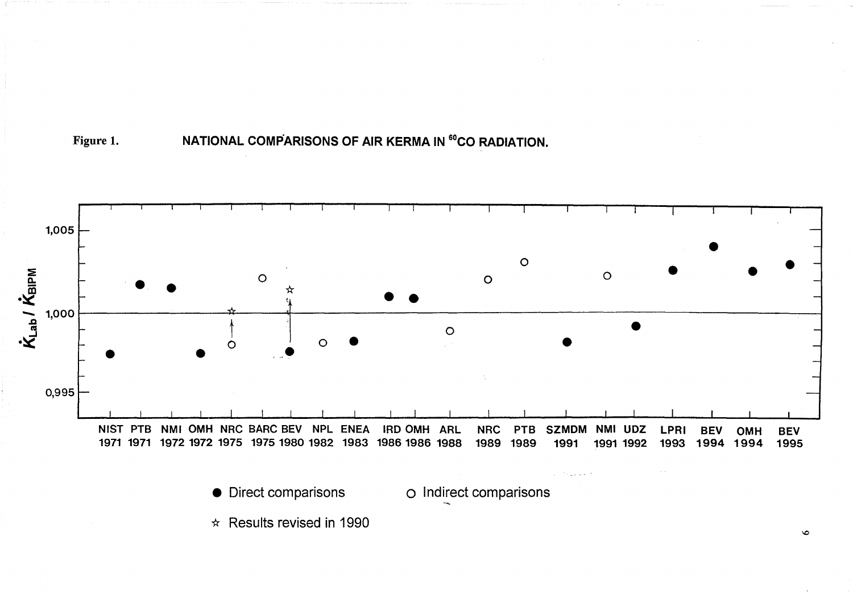



 $\bullet$  Direct comparisons

O Indirect comparisons



 $\bullet$